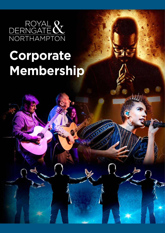

# **Corporate Membership**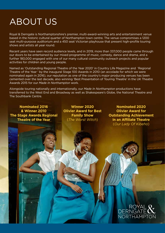## ABOUT US

Royal & Derngate is Northamptonshire's premier, multi-award-winning arts and entertainment venue based in the historic cultural quarter of Northampton town centre. The venue compromises a 1200 seat multi-purpose auditorium and a 450 seat Victorian playhouse that present high-profile touring shows and artists all year round.

Recent years have seen record audience levels, and in 2019, more than 337,000 people came through our doors to be entertained by our mixed programme of music, comedy, dance and drama, and a further 180,000 engaged with one of our many cultural community outreach projects and popular activities for children and young people.

Named as 'Outstanding Regional Theatre of the Year 2020' in Country Life Magazine and 'Regional Theatre of the Year ' by the inaugural Stage 100 Awards in 2010 (an accolade for which we were nominated again in 2016), our reputation as one of the country's major producing venues has been cemented over the last decade, also winning 'Best Presentation of Touring Theatre' in the UK Theatre Awards 2015 for our *Made In Northampton* work.

Alongside touring nationally and internationally, our *Made In Northampton* productions have transferred to the West End and Broadway as well as Shakespeare's Globe, the National Theatre and The Southbank Centre.

**Nominated 2016 & Winner 2010 The Stage Awards Regional Theatre of the Year**

**Winner 2020 Olivier Award for Best Family Show** (*The Worst Witch*)

**Nominated 2020 Olivier Award for Outstanding Achievement in an Affiliate Theatre** (*Our Lady Of Kibeho*)

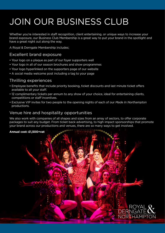# JOIN OUR BUSINESS CLUB

Whether you're interested in staff recognition, client entertaining, or unique ways to increase your brand exposure, our Business Club Membership is a great way to put your brand in the spotlight and have a great night out along the way.

A Royal & Derngate Membership includes;

#### Excellent brand exposure

- Your logo on a plaque as part of our foyer supporters wall
- Your logo in all of our season brochures and show programmes
- Your logo hyperlinked on the supporters page of our website
- A social media welcome post including a tag to your page

#### Thrilling experiences

- Employee benefits that include priority booking, ticket discounts and last minute ticket offers available to all your staff.
- 12 complimentary tickets per annum to any show of your choice, ideal for entertaining clients, competitions or staff incentives.
- Exclusive VIP invites for two people to the opening nights of each of our *Made In Northampton*  productions.

#### Venue hire and hospitality opportunities

We also work with companies of all shapes and sizes from an array of sectors, to offer corporate packages to suit any budget. From ticket back advertising, to high impact sponsorships that promote your brand across our productions and venues, there are so many ways to get involved.

#### **Annual cost: £1,500+vat**